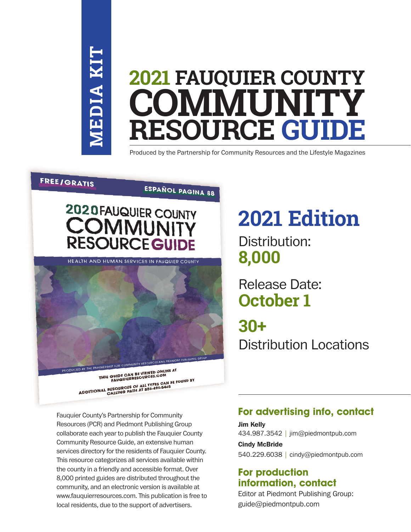# **MEDIA KIT MEDIA K**

# 2021 FAUQUIER COUNTY E COMMUNIT **RESOURCE GUI** Produced by the Partnership for Community Resources and the Lifes **2021 FAUQUIER COUNTY COMMUNITY RESOURCE GUIDE**

Produced by the Partnership for Community Resources and the Lifestyle Magazines

#### **FREE/GRATIS**

# ESPAÑOL PAGINA 88



HEALTH AND HUMAN SERVICES IN FAUQUIER COUNTY



THIS GUIDE CAN BE VIEWED ONLINE AT<br>THIS GUIDE CAN BE VIEWED ONLINE AT<br>FAUQUIERRESOURCES.COM THIS GUIDE CAN EXERCISE COM<br>FAUGUIERRESOURCES CALL TYPES CAN BE FOUND BY<br>ADDITIONAL RESOURCES OF ALL TYPES CAN BE FOUND BY

Fauquier County's Partnership for Community Fauquier County's Partnership for Community Resources (PCR) and Piedmont Publishing Group collaborate each year to publish the Fauquier County collaborate each year to publish the Fauquier County Community Resource Guide, an extensive human Community Resource Guide, an extensive human services directory for the residents of Fauquier County. services directory for the residents of Fauquier County. This resource categorizes all services available within This resource categorizes all services available within the county in a friendly and accessible format. Over the county in a friendly and accessible format. Over 8,000 printed guides are distributed throughout the 8,000 printed guides are distributed throughout the community, and an electronic version is available at community, and an electronic version is available at www.fauquierresources.com. This publication is free to www.fauquierresources.com. This publication is free to local residents, due to the support of advertisers. local residents, due to the support of advertisers.

## **2021 Edition**  $20225111$ <u>zuzi eg</u>

Distribution: **8,000** Release Date:

# Release Date: **October 1 30+**

**30+** Distribution Locations Distribution Locations

### **For advertising info, contact**

Jim Kelly 434.987.3542 | jim@piedmontpub.com Cindy McBride 540.229.6038 | cindy@piedmontpub.com

## **For production information, contact**

Editor at Piedmont Publishing Group: guide@piedmontpub.com